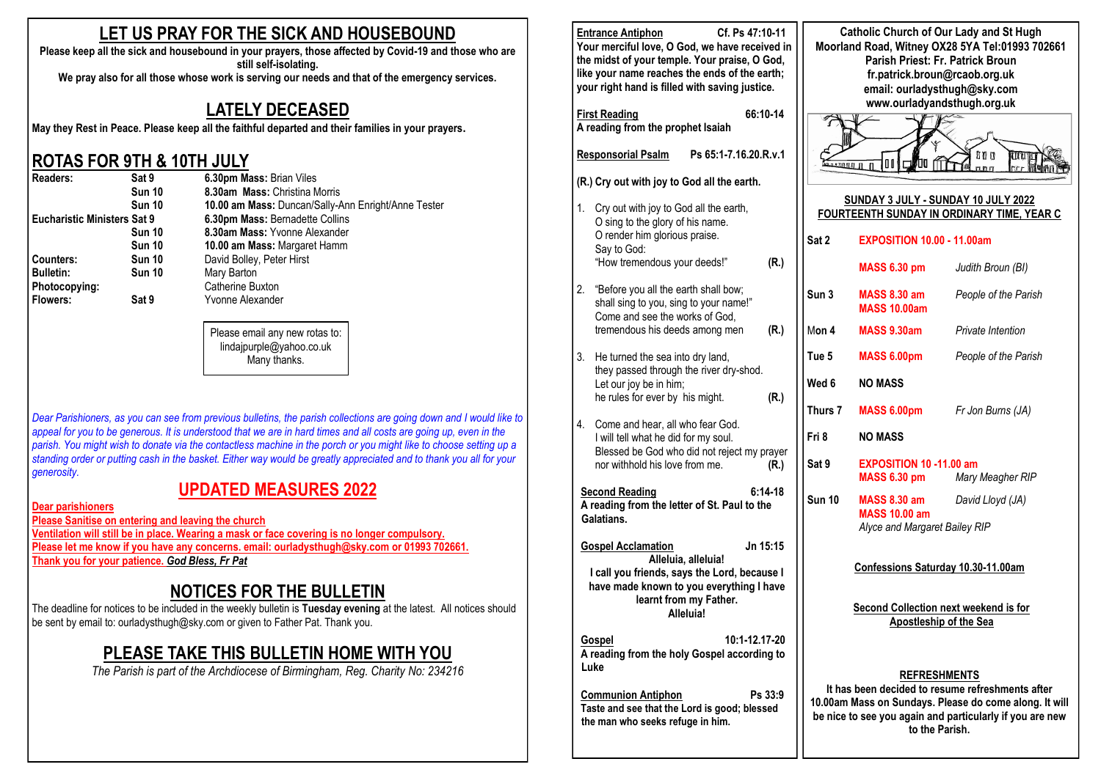### **LET US PRAY FOR THE SICK AND HOUSEBOUND**

**Please keep all the sick and housebound in your prayers, those affected by Covid-19 and those who are still self-isolating.** 

#### **We pray also for all those whose work is serving our needs and that of the emergency services.**

#### **LATELY DECEASED**

**May they Rest in Peace. Please keep all the faithful departed and their families in your prayers.**

#### **ROTAS FOR 9TH & 10TH JULY**

| Readers:                           | Sat 9         | 6.30pm Mass: Brian Viles                            |  |  |  |
|------------------------------------|---------------|-----------------------------------------------------|--|--|--|
|                                    | <b>Sun 10</b> | 8.30am Mass: Christina Morris                       |  |  |  |
|                                    | <b>Sun 10</b> | 10.00 am Mass: Duncan/Sally-Ann Enright/Anne Tester |  |  |  |
| <b>Eucharistic Ministers Sat 9</b> |               | 6.30pm Mass: Bernadette Collins                     |  |  |  |
|                                    | Sun 10        | 8.30am Mass: Yvonne Alexander                       |  |  |  |
|                                    | <b>Sun 10</b> | 10.00 am Mass: Margaret Hamm                        |  |  |  |
| Counters:                          | <b>Sun 10</b> | David Bolley, Peter Hirst                           |  |  |  |
| <b>Bulletin:</b>                   | <b>Sun 10</b> | Mary Barton                                         |  |  |  |
| Photocopying:                      |               | Catherine Buxton                                    |  |  |  |
| <b>Flowers:</b>                    | Sat 9         | Yvonne Alexander                                    |  |  |  |
|                                    |               |                                                     |  |  |  |

Please email any new rotas to: lindajpurple@yahoo.co.uk Many thanks.

*Dear Parishioners, as you can see from previous bulletins, the parish collections are going down and I would like to*  appeal for you to be generous. It is understood that we are in hard times and all costs are going up, even in the *parish. You might wish to donate via the contactless machine in the porch or you might like to choose setting up a standing order or putting cash in the basket. Either way would be greatly appreciated and to thank you all for your generosity.*

### **UPDATED MEASURES 2022**

**Dear parishioners**

**Please Sanitise on entering and leaving the church Ventilation will still be in place. Wearing a mask or face covering is no longer compulsory. Please let me know if you have any concerns. email: ourladysthugh@sky.com or 01993 702661.**

**Thank you for your patience.** *God Bless, Fr Pat*

## **NOTICES FOR THE BULLETIN**

The deadline for notices to be included in the weekly bulletin is **Tuesday evening** at the latest. All notices should be sent by email to: ourladysthugh@sky.com or given to Father Pat. Thank you.

### **PLEASE TAKE THIS BULLETIN HOME WITH YOU**

*The Parish is part of the Archdiocese of Birmingham, Reg. Charity No: 234216*

|                                                                                                                          | Cf. Ps 47:10-11<br><b>Entrance Antiphon</b><br>Your merciful love, O God, we have received in<br>the midst of your temple. Your praise, O God,<br>like your name reaches the ends of the earth;<br>your right hand is filled with saving justice. | <b>Catholic Church of Our Lady and St Hugh</b><br>Moorland Road, Witney OX28 5YA Tel:01993 702661<br>Parish Priest: Fr. Patrick Broun<br>fr.patrick.broun@rcaob.org.uk<br>email: ourladysthugh@sky.com<br>www.ourladyandsthugh.org.uk |                                                       |                      |
|--------------------------------------------------------------------------------------------------------------------------|---------------------------------------------------------------------------------------------------------------------------------------------------------------------------------------------------------------------------------------------------|---------------------------------------------------------------------------------------------------------------------------------------------------------------------------------------------------------------------------------------|-------------------------------------------------------|----------------------|
|                                                                                                                          | 66:10-14<br><b>First Reading</b><br>A reading from the prophet Isaiah                                                                                                                                                                             |                                                                                                                                                                                                                                       |                                                       |                      |
|                                                                                                                          | Ps 65:1-7.16.20.R.v.1<br><b>Responsorial Psalm</b>                                                                                                                                                                                                | 000<br>ரா<br>01<br>ЛΟ<br>20000<br>國<br>nnn                                                                                                                                                                                            |                                                       |                      |
|                                                                                                                          | (R.) Cry out with joy to God all the earth.                                                                                                                                                                                                       |                                                                                                                                                                                                                                       |                                                       |                      |
| 1.<br>Cry out with joy to God all the earth,<br>O sing to the glory of his name.                                         |                                                                                                                                                                                                                                                   | SUNDAY 3 JULY - SUNDAY 10 JULY 2022<br>FOURTEENTH SUNDAY IN ORDINARY TIME, YEAR C                                                                                                                                                     |                                                       |                      |
|                                                                                                                          | O render him glorious praise.<br>Say to God:                                                                                                                                                                                                      | Sat 2                                                                                                                                                                                                                                 | <b>EXPOSITION 10.00 - 11.00am</b>                     |                      |
|                                                                                                                          | "How tremendous your deeds!"<br>(R.)                                                                                                                                                                                                              |                                                                                                                                                                                                                                       | <b>MASS 6.30 pm</b>                                   | Judith Broun (BI)    |
| 2.                                                                                                                       | "Before you all the earth shall bow;<br>shall sing to you, sing to your name!"<br>Come and see the works of God.                                                                                                                                  | Sun 3                                                                                                                                                                                                                                 | MASS 8.30 am<br><b>MASS 10.00am</b>                   | People of the Parish |
|                                                                                                                          | tremendous his deeds among men<br>(R.)                                                                                                                                                                                                            | Mon 4                                                                                                                                                                                                                                 | MASS 9.30am                                           | Private Intention    |
| 3.                                                                                                                       | He turned the sea into dry land,<br>they passed through the river dry-shod.                                                                                                                                                                       | Tue 5                                                                                                                                                                                                                                 | <b>MASS 6.00pm</b>                                    | People of the Parish |
|                                                                                                                          | Let our joy be in him;                                                                                                                                                                                                                            | Wed 6                                                                                                                                                                                                                                 | <b>NO MASS</b>                                        |                      |
| 4.                                                                                                                       | he rules for ever by his might.<br>(R.)<br>Come and hear, all who fear God.                                                                                                                                                                       | Thurs 7                                                                                                                                                                                                                               | MASS 6.00pm                                           | Fr Jon Burns (JA)    |
|                                                                                                                          | I will tell what he did for my soul.<br>Blessed be God who did not reject my prayer                                                                                                                                                               | Fri 8                                                                                                                                                                                                                                 | <b>NO MASS</b>                                        |                      |
|                                                                                                                          | nor withhold his love from me.<br>(R.)                                                                                                                                                                                                            | Sat 9                                                                                                                                                                                                                                 | <b>EXPOSITION 10 -11.00 am</b><br><b>MASS 6.30 pm</b> | Mary Meagher RIP     |
|                                                                                                                          | <b>Second Reading</b><br>$6:14-18$<br>A reading from the letter of St. Paul to the<br>Galatians.                                                                                                                                                  | <b>Sun 10</b>                                                                                                                                                                                                                         | MASS 8.30 am<br><b>MASS 10.00 am</b>                  | David Lloyd (JA)     |
|                                                                                                                          |                                                                                                                                                                                                                                                   |                                                                                                                                                                                                                                       | Alyce and Margaret Bailey RIP                         |                      |
|                                                                                                                          | Jn 15:15<br><b>Gospel Acclamation</b><br>Alleluia, alleluia!<br>I call you friends, says the Lord, because I                                                                                                                                      | Confessions Saturday 10.30-11.00am<br>Second Collection next weekend is for                                                                                                                                                           |                                                       |                      |
|                                                                                                                          | have made known to you everything I have<br>learnt from my Father.<br>Alleluia!                                                                                                                                                                   |                                                                                                                                                                                                                                       |                                                       |                      |
|                                                                                                                          |                                                                                                                                                                                                                                                   |                                                                                                                                                                                                                                       | <b>Apostleship of the Sea</b>                         |                      |
| 10:1-12.17-20<br>Gospel<br>A reading from the holy Gospel according to<br>Luke                                           |                                                                                                                                                                                                                                                   |                                                                                                                                                                                                                                       |                                                       |                      |
| <b>Communion Antiphon</b><br>Ps 33:9<br>Taste and see that the Lord is good; blessed<br>the man who seeks refuge in him. |                                                                                                                                                                                                                                                   | <b>REFRESHMENTS</b><br>It has been decided to resume refreshments after<br>10.00am Mass on Sundays. Please do come along. It will<br>be nice to see you again and particularly if you are new<br>to the Parish.                       |                                                       |                      |